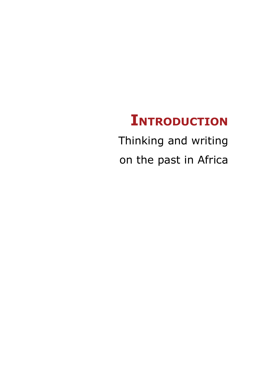# **Introduction**

Thinking and writing on the past in Africa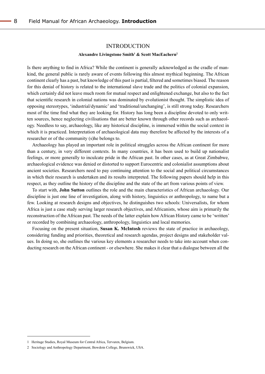#### **INTRODUCTION**

#### **Alexandre Livingstone Smith1 & Scott MacEachern2**

Is there anything to find in Africa? While the continent is generally acknowledged as the cradle of mankind, the general public is rarely aware of events following this almost mythical beginning. The African continent clearly has a past, but knowledge of this past is partial, filtered and sometimes biased. The reason for this denial of history is related to the international slave trade and the politics of colonial expansion, which certainly did not leave much room for mutual respect and enlightened exchange, but also to the fact that scientific research in colonial nations was dominated by evolutionist thought. The simplistic idea of opposing stereotypes, 'industrial/dynamic' and 'traditional/unchanging', is still strong today. Researchers most of the time find what they are looking for. History has long been a discipline devoted to only written sources, hence neglecting civilisations that are better known through other records such as archaeology. Needless to say, archaeology, like any historical discipline, is immersed within the social context in which it is practiced. Interpretation of archaeological data may therefore be affected by the interests of a researcher or of the community (s)he belongs to.

Archaeology has played an important role in political struggles across the African continent for more than a century, in very different contexts. In many countries, it has been used to build up nationalist feelings, or more generally to inculcate pride in the African past. In other cases, as at Great Zimbabwe, archaeological evidence was denied or distorted to support Eurocentric and colonialist assumptions about ancient societies. Researchers need to pay continuing attention to the social and political circumstances in which their research is undertaken and its results interpreted. The following papers should help in this respect, as they outline the history of the discipline and the state of the art from various points of view.

To start with, **John Sutton** outlines the role and the main characteristics of African archaeology. Our discipline is just one line of investigation, along with history, linguistics or anthropology, to name but a few. Looking at research designs and objectives, he distinguishes two schools: Universalists, for whom Africa is just a case study serving larger research objectives, and Africanists, whose aim is primarily the reconstruction of the African past. The needs of the latter explain how African History came to be 'written' or recorded by combining archaeology, anthropology, linguistics and local memories.

Focusing on the present situation, **Susan K. McIntosh** reviews the state of practice in archaeology, considering funding and priorities, theoretical and research agendas, project designs and stakeholder values. In doing so, she outlines the various key elements a researcher needs to take into account when conducting research on the African continent - or elsewhere. She makes it clear that a dialogue between all the

<sup>1</sup> Heritage Studies, Royal Museum for Central Africa, Tervuren, Belgium.

<sup>2</sup> Sociology and Anthropology Department, Bowdoin College, Brunswick, USA.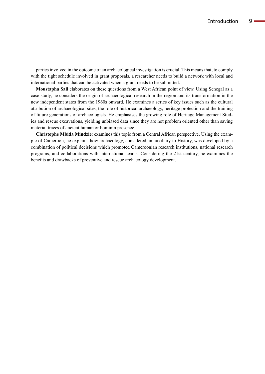parties involved in the outcome of an archaeological investigation is crucial. This means that, to comply with the tight schedule involved in grant proposals, a researcher needs to build a network with local and international parties that can be activated when a grant needs to be submitted.

**Moustapha Sall** elaborates on these questions from a West African point of view. Using Senegal as a case study, he considers the origin of archaeological research in the region and its transformation in the new independent states from the 1960s onward. He examines a series of key issues such as the cultural attribution of archaeological sites, the role of historical archaeology, heritage protection and the training of future generations of archaeologists. He emphasises the growing role of Heritage Management Studies and rescue excavations, yielding unbiased data since they are not problem oriented other than saving material traces of ancient human or hominin presence.

**Christophe Mbida Mindzie**: examines this topic from a Central African perspective. Using the example of Cameroon, he explains how archaeology, considered an auxiliary to History, was developed by a combination of political decisions which promoted Cameroonian research institutions, national research programs, and collaborations with international teams. Considering the 21st century, he examines the benefits and drawbacks of preventive and rescue archaeology development.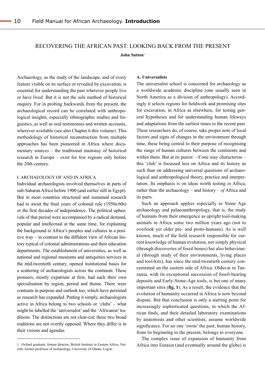## Recovering the African past: looking back from the present **John Sutton**1

Archaeology, as the study of the landscape, and of every feature visible on its surface or revealed by excavation, is essential for understanding the past wherever people live or have lived. But it is not the sole method of historical enquiry. For in probing backwards from the present, the archaeological record can be correlated with anthropological insights, especially ethnographic studies and linguistics, as well as oral testimonies and written accounts, wherever available (see also Chapter 6 this volume). This methodology of historical reconstruction from multiple approaches has been pioneered in Africa where documentary sources – the traditional mainstay of historical research in Europe – exist for few regions only before the 20th century.

#### I. ARCHAEOLOGY OF AND IN AFRICA <sup>1</sup>

Individual archaeologists involved themselves in parts of sub-Saharan Africa before 1900 (and earlier still in Egypt). But in most countries structured and sustained research had to await the final years of colonial rule (1950s/60s) or the first decades of independence. The political upheavals of that period were accompanied by a radical demand, popular and intellectual at the same time, for explaining the background to Africa's peoples and cultures in a positive way – in contrast to the diffident view of African history typical of colonial administrations and their education departments. The establishment of universities, as well as national and regional museums and antiquities services in the mid-twentieth century, opened institutional bases for a scattering of archaeologists across the continent. These pioneers, mostly expatriate at first, had each their own specialisation by region, period and theme. There were contrasts in purpose and outlook too, which have persisted as research has expanded. Putting it simply, archaeologists active in Africa belong to two schools or 'clubs' – what might be labelled the 'universalist' and the 'Africanist' traditions. The distinctions are not clear-cut; these two broad traditions are not overtly opposed. Where they differ is in their visions and agendas.

#### **A. Universalists**

The universalist school is concerned for archaeology as a worldwide academic discipline (one usually seen in North America as a division of anthropology). Accordingly it selects regions for fieldwork and promising sites for excavation, in Africa as elsewhere, for testing general hypotheses and for understanding human lifeways and adaptations from the earliest times to the recent past. These researchers do, of course, take proper note of local factors and signs of changes in the environment through time, these being central to their purpose of recognising the range of human cultures between the continents and within them. But at its purest  $-$  if one may characterise  $$ this 'club' is focussed less on Africa and its history as such than on addressing universal questions of archaeological and anthropological theory, practice and interpretation. Its emphasis is on ideas worth testing *in* Africa, rather than the archaeology – and history – *of* Africa and its parts.

Such an approach applies especially to Stone Age archaeology and palaeoanthropology, that is, the study of humans from their emergence as upright tool-making animals in Africa some two million years ago (not to overlook yet older pre- and proto-humans). As is well known, much of the field research responsible for current knowledge of human evolution, not simply physical (through discoveries of fossil bones) but also behavioural (through study of their environments, living places and tool-kits), has since the mid-twentieth century concentrated on the eastern side of Africa. Olduvai in Tanzania, with its exceptional succession of fossil-bearing deposits and Early-Stone-Age tools, is but one of many important sites (**fig. 1**). As a result, the evidence that the evolution of humanity occurred in Africa is now beyond dispute. But that conclusion is only a starting point for increasingly sophisticated questions, in which the African finds, and their detailed laboratory examinations by anatomists and other scientists, assume worldwide significance. For no one 'owns' the past; human history, from its beginning to the present, belongs to everyone.

The complex issue of expansion of humanity from Africa into Eurasia (and eventually around the globe) is

<sup>1</sup> Oxford graduate; former director, British Institute in Eastern Africa, Nairobi; former professor of archaeology, University of Ghana, Legon.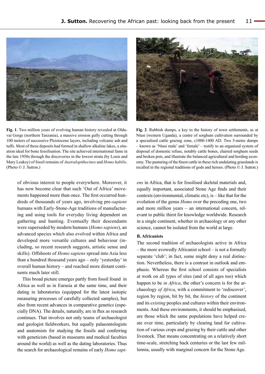

**Fig. 1**. Two million years of evolving human history revealed at Olduvai Gorge (northern Tanzania), a massive erosion gully cutting through 100 meters of successive Pleistocene layers, including volcanic ash and tuffs. Most of these deposits had formed in shallow alkaline lakes, a situation ideal for bone fossilisation. The site achieved international fame in the late 1950s through the discoveries in the lowest strata (by Louis and Mary Leakey) of fossil remains of *Australopithecines* and *Homo habilis*. (Photo © J. Sutton.)

of obvious interest to people everywhere. Moreover, it has now become clear that such 'Out of Africa' movements happened more than once. The first occurred hundreds of thousands of years ago, involving pre-*sapiens* humans with Early-Stone-Age traditions of manufacturing and using tools for everyday living dependent on gathering and hunting. Eventually their descendants were superseded by modern humans (*Homo sapiens*), an advanced species which also evolved within Africa and developed more versatile cultures and behaviour (including, so recent research suggests, artistic sense and skills). Offshoots of *Homo sapiens* spread into Asia less than a hundred thousand years ago – only 'yesterday' in overall human history – and reached more distant continents much later still.

This broad picture emerges partly from fossil found in Africa as well as in Eurasia at the same time, and their dating in laboratories (equipped for the latest isotopic measuring processes of carefully collected samples), but also from recent advances in comparative genetics (especially DNA). The details, naturally, are in flux as research continues. That involves not only teams of archaeologist and geologist fieldworkers, but equally palaeontologists and anatomists for studying the fossils and conferring with geneticists (based in museums and medical faculties around the world) as well as the dating laboratories. Thus the search for archaeological remains of early *Homo sapi-*



**Fig. 2**. Rubbish dumps, a key to the history of town settlements, as at Ntusi (western Uganda), a centre of sorghum cultivation surrounded by a specialised cattle grazing zone, c1000-1400 AD. Two 5-metre dumps – known as 'Ntusi male' and 'female' – testify to an organised system of disposal of domestic refuse, notably cattle bones, charred sorghum seeds and broken pots, and illustrate the balanced agricultural and herding economy. The pasturing of the finest cattle in these rich undulating grasslands is recalled in the regional traditions of gods and heroes. (Photo © J. Sutton.)

*ens* in Africa, that is for fossilised skeletal materials and, equally important, associated Stone Age finds and their contexts (environmental, climatic etc), is – like that for the evolution of the genus *Homo* over the preceding one, two and more million years – an international concern, relevant to public thirst for knowledge worldwide. Research in a single continent, whether in archaeology or any other science, cannot be isolated from the world at large.

## **B. Africanists**

The second tradition of archaeologists active in Africa – the more avowedly Africanist school – is not a formally separate 'club'; in fact, some might deny a real distinction. Nevertheless, there is a contrast in outlook and emphasis. Whereas the first school consists of specialists at work on all types of sites (and of all ages too) which happen to be *in Africa*, the other's concern is for the archaeology *of Africa*, with a commitment to 'rediscover', region by region, bit by bit, the *history* of the continent and its *existing* peoples and cultures within their environments. And these environments, it should be emphasised, are those which the same populations have helped create over time, particularly by clearing land for cultivation of various crops and grazing by their cattle and other livestock. That means concentrating on a relatively short time-scale, stretching back centuries or the last few millennia, usually with marginal concern for the Stone Age.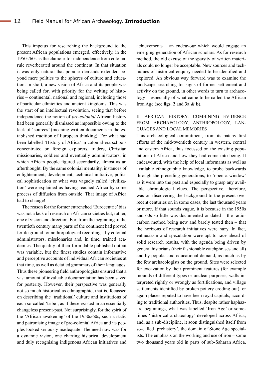This impetus for researching the background to the present African populations emerged, effectively, in the 1950s/60s as the clamour for independence from colonial rule reverberated around the continent. In that situation it was only natural that popular demands extended beyond mere politics to the spheres of culture and education. In short, a new vision of Africa and its people was being called for, with priority for the writing of histories – continental, national and regional, including those of particular ethnicities and ancient kingdoms. This was the start of an intellectual revolution, seeing that before independence the notion of *pre-colonial* African history had been generally dismissed as impossible owing to the lack of 'sources' (meaning written documents in the established tradition of European thinking). For what had been labelled 'History of Africa' in colonial-era schools concentrated on foreign explorers, traders, Christian missionaries, soldiers and eventually administrators, in which African people figured secondarily, almost as an afterthought. By the same colonial mentality, instances of enlightenment, development, technical initiative, political sophistication or what was vaguely called 'civilization' were explained as having reached Africa by some process of diffusion from outside. That image of Africa had to change!

The reason for the former entrenched 'Eurocentric' bias was not a lack of research on African societies but, rather, one of vision and direction. For, from the beginning of the twentieth century many parts of the continent had proved fertile ground for anthropological recording – by colonial administrators, missionaries and, in time, trained academics. The quality of their formidable published output was variable, but the finest studies contain informative and perceptive accounts of individual African societies at that time, as well as detailed grammars of their languages. Thus these pioneering field anthropologists ensured that a vast amount of invaluable documentation has been saved for posterity. However, their perspective was generally not so much historical as ethnographic, that is, focussed on describing the 'traditional' culture and institutions of each so-called 'tribe', as if these existed in an essentially changeless present-past. Not surprisingly, for the spirit of the 'African awakening' of the 1950s/60s, such a static and patronising image of pre-colonial Africa and its peoples looked seriously inadequate. The need now was for a dynamic vision, one charting historical development and duly recognising indigenous African initiatives and achievements – an endeavour which would engage an emerging generation of African scholars. As for research method, the old excuse of the sparsity of written materials could no longer be acceptable. New sources and techniques of historical enquiry needed to be identified and explored. An obvious way forward was to examine the landscape, searching for signs of former settlement and activity on the ground, in other words to turn to archaeology – especially of what came to be called the African Iron Age (see **figs**. **2** and **3a & b**).

## II. AFRICAN HISTORY: COMBINING EVIDENCE FROM ARCHAEOLOGY, ANTHROPOLOGY, LAN-GUAGES AND LOCAL MEMORIES

This archaeological commitment, from its patchy first efforts of the mid-twentieth century in western, central and eastern Africa, thus focussed on the existing populations of Africa and how they had come into being. It endeavoured, with the help of local informants as well as available ethnographic knowledge, to probe backwards through the preceding generations, to 'open a window' as it were into the past and especially to grasp any available chronological clues. The perspective, therefore, was on discovering the background to the present over recent centuries or, in some cases, the last thousand years or more. If that sounds vague, it is because in the 1950s and 60s so little was documented or dated – the radiocarbon method being new and barely tested then – that the horizons of research initiatives were hazy. In fact, enthusiasm and speculation were apt to race ahead of solid research results, with the agenda being driven by general historians (their fashionable catchphrases and all) and by popular and educational demand, as much as by the few archaeologists on the ground. Sites were selected for excavation by their prominent features (for example mounds of different types or unclear purposes, walls interpreted rightly or wrongly as fortifications, and village settlements identified by broken pottery eroding out), or again places reputed to have been royal capitals, according to traditional authorities. Thus, despite rather haphazard beginnings, what was labelled 'Iron Age' or sometimes 'historical archaeology' developed across Africa; and, as a sub-discipline, it soon distinguished itself from so-called 'prehistory', the domain of Stone Age specialists. The emphasis on the working and use of iron – some two thousand years old in parts of sub-Saharan Africa,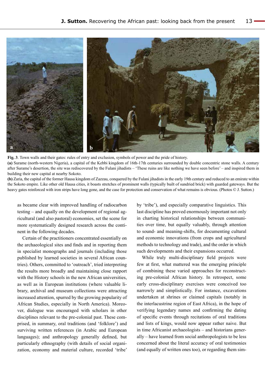

**Fig. 3**. Town walls and their gates: rules of entry and exclusion, symbols of power and the pride of history. **(a)** Surame (north-western Nigeria), a capital of the Kebbi kingdom of 16th-17th centuries surrounded by double concentric stone walls. A century after Surame's desertion, the site was rediscovered by the Fulani jihadists – 'These ruins are like nothing we have seen before' – and inspired them in building their new capital at nearby Sokoto.

**(b)** Zaria, the capital of the former Hausa kingdom of Zazzau, conquered by the Fulani jihadists in the early 19th century and reduced to an emirate within the Sokoto empire. Like other old Hausa cities, it boasts stretches of prominent walls (typically built of sundried brick) with guarded gateways. But the heavy gates reinforced with iron strips have long gone, and the case for protection and conservation of what remains is obvious. (Photos  $\odot$  J. Sutton.)

as became clear with improved handling of radiocarbon testing – and equally on the development of regional agricultural (and also pastoral) economies, set the scene for more systematically designed research across the continent in the following decades.

Certain of the practitioners concentrated essentially on the archaeological sites and finds and in reporting them in specialist monographs and journals (including those published by learned societies in several African countries). Others, committed to 'outreach', tried interpreting the results more broadly and maintaining close rapport with the History schools in the new African universities, as well as in European institutions (where valuable library, archival and museum collections were attracting increased attention, spurred by the growing popularity of African Studies, especially in North America). Moreover, dialogue was encouraged with scholars in other disciplines relevant to the pre-colonial past. These comprised, in summary, oral traditions (and 'folklore') and surviving written references (in Arabic and European languages); and anthropology generally defined, but particularly ethnography (with details of social organization, economy and material culture, recorded 'tribe'

by 'tribe'), and especially comparative linguistics. This last discipline has proved enormously important not only in charting historical relationships between communities over time, but equally valuably, through attention to sound- and meaning-shifts, for documenting cultural and economic innovations (from crops and agricultural methods to technology and trade), and the order in which such developments and their expansions occurred.

While truly multi-disciplinary field projects were few at first, what mattered was the emerging principle of combining these varied approaches for reconstructing pre-colonial African history. In retrospect, some early cross-disciplinary exercises were conceived too narrowly and simplistically. For instance, excavations undertaken at shrines or claimed capitals (notably in the interlacustrine region of East Africa), in the hope of verifying legendary names and confirming the dating of specific events through recitations of oral traditions and lists of kings, would now appear rather naive. But in time Africanist archaeologists – and historians generally – have learned from social anthropologists to be less concerned about the literal accuracy of oral testimonies (and equally of written ones too), or regarding them sim-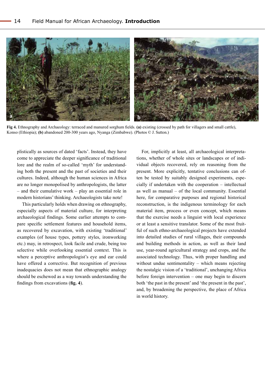

**Fig 4.** Ethnography and Archaeology: terraced and manured sorghum fields. **(a)** existing (crossed by path for villagers and small cattle), Konso (Ethiopia); **(b)** abandoned 200-300 years ago, Nyanga (Zimbabwe). (Photos © J. Sutton.)

plistically as sources of dated 'facts'. Instead, they have come to appreciate the deeper significance of traditional lore and the realm of so-called 'myth' for understanding both the present and the past of societies and their cultures. Indeed, although the human sciences in Africa are no longer monopolised by anthropologists, the latter – and their cumulative work – play an essential role in modern historians' thinking. Archaeologists take note!

This particularly holds when drawing on ethnography, especially aspects of material culture, for interpreting archaeological findings. Some earlier attempts to compare specific settlement features and household items, as recovered by excavation, with existing 'traditional' examples (of house types, pottery styles, ironworking etc.) may, in retrospect, look facile and crude, being too selective while overlooking essential context. This is where a perceptive anthropologist's eye and ear could have offered a corrective. But recognition of previous inadequacies does not mean that ethnographic analogy should be eschewed as a way towards understanding the findings from excavations (**fig. 4**).

For, implicitly at least, all archaeological interpretations, whether of whole sites or landscapes or of individual objects recovered, rely on reasoning from the present. More explicitly, tentative conclusions can often be tested by suitably designed experiments, especially if undertaken with the cooperation – intellectual as well as manual – of the local community. Essential here, for comparative purposes and regional historical reconstruction, is the indigenous terminology for each material item, process or even concept, which means that the exercise needs a linguist with local experience or at least a sensitive translator. Some of the most fruitful of such ethno-archaeological projects have extended into detailed studies of rural villages, their compounds and building methods in action, as well as their land use, year-round agricultural strategy and crops, and the associated technology. Thus, with proper handling and without undue sentimentality – which means rejecting the nostalgic vision of a 'traditional', unchanging Africa before foreign intervention – one may begin to discern both 'the past in the present' and 'the present in the past', and, by broadening the perspective, the place of Africa in world history.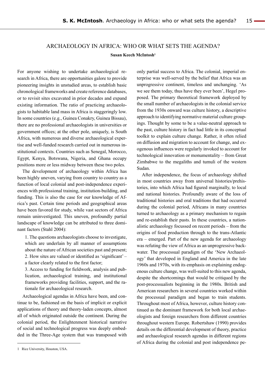## ARCHAEOLOGY IN AFRICA: WHO OR WHAT SETS THE AGENDA? **Susan Keech McIntosh1**

For anyone wishing to undertake archaeological research in Africa, there are opportunities galore to provide pioneering insights in unstudied areas, to establish basic chronological frameworks and create reference databases, or to revisit sites excavated in prior decades and expand existing information. The ratio of practicing archaeologists to habitable land mass in Africa is staggeringly low. In some countries (e.g., Guinea Conakry, Guinea Bissau), there are no professional archaeologists in universities or government offices; at the other pole, uniquely, is South Africa, with numerous and diverse archaeological expertise and well-funded research carried out in numerous institutional contexts. Countries such as Senegal, Morocco, Egypt, Kenya, Botswana, Nigeria, and Ghana occupy positions more or less midway between these two poles.**<sup>1</sup>**

The development of archaeology within Africa has been highly uneven, varying from country to country as a function of local colonial and post-independence experiences with professional training, institution-building, and funding. This is also the case for our knowledge of Africa's past. Certain time periods and geographical areas have been favored for study, while vast sectors of Africa remain uninvestigated. This uneven, profoundly partial landscape of knowledge can be attributed to three dominant factors (Stahl 2004):

1. The questions archaeologists choose to investigate, which are underlain by all manner of assumptions about the nature of African societies past and present; 2. How sites are valued or identified as 'significant' – a factor clearly related to the first factor;

3. Access to funding for fieldwork, analysis and publication, archaeological training, and institutional frameworks providing facilities, support, and the rationale for archaeological research.

Archaeological agendas in Africa have been, and continue to be, fashioned on the basis of implicit or explicit applications of theory and theory-laden concepts, almost all of which originated outside the continent. During the colonial period, the Enlightenment historical narrative of social and technological progress was deeply embedded in the Three-Age system that was transposed with

only partial success to Africa. The colonial, imperial enterprise was well-served by the belief that Africa was an unprogressive continent, timeless and unchanging. 'As we see them today, thus have they ever been', Hegel proposed. The primary theoretical framework deployed by the small number of archaeologists in the colonial service from the 1930s onward was culture history, a descriptive approach to identifying normative material culture groupings. Thought by some to be a value-neutral approach to the past, culture history in fact had little in its conceptual toolkit to explain culture change. Rather, it often relied on diffusion and migration to account for change, and exogenous influences were regularly invoked to account for technological innovation or monumentality – from Great Zimbabwe to the megaliths and tumuli of the western Sudan.

After independence, the focus of archaeology shifted in most countries away from universal histories/prehistories, into which Africa had figured marginally, to local and national histories. Profoundly aware of the loss of traditional histories and oral traditions that had occurred during the colonial period, Africans in many countries turned to archaeology as a primary mechanism to regain and re-establish their pasts. In these countries, a nationalistic archaeology focussed on recent periods – from the origins of food production through to the trans-Atlantic era – emerged. Part of the new agenda for archaeology was refuting the view of Africa as an unprogressive backwater. The processual paradigm of the 'New Archaeology' that developed in England and America in the late 1960s and 1970s, with its emphasis on explaining endogenous culture change, was well-suited to this new agenda, despite the shortcomings that would be critiqued by the post-processualists beginning in the 1980s. British and American researchers in several countries worked within the processual paradigm and began to train students. Throughout most of Africa, however, culture history continued as the dominant framework for both local archaeologists and foreign researchers from different countries throughout western Europe. Robertshaw (1990) provides details on the differential development of theory, practice and archaeological research agendas in different regions of Africa during the colonial and post independence pe-

<sup>1</sup> Rice University, Houston, USA.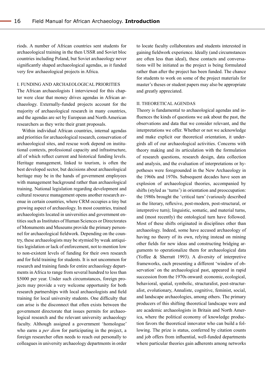riods. A number of African countries sent students for archaeological training in the then USSR and Soviet bloc countries including Poland, but Soviet archaeology never significantly shaped archaeological agendas, as it funded very few archaeological projects in Africa.

#### I. FUNDING AND ARCHAEOLOGICAL PRIORITIES

The African archaeologists I interviewed for this chapter were clear that money drives agendas in African archaeology. Externally-funded projects account for the majority of archaeological research in many countries, and the agendas are set by European and North American researchers as they write their grant proposals.

Within individual African countries, internal agendas and priorities for archaeological research, conservation of archaeological sites, and rescue work depend on institutional contexts, professional capacity and infrastructure, all of which reflect current and historical funding levels. Heritage management, linked to tourism, is often the best developed sector, but decisions about archaeological heritage may be in the hands of government employees with management background rather than archaeological training. National legislation regarding development and cultural resource management opens another research avenue in certain countries, where CRM occupies a tiny but growing aspect of archaeology. In most countries, trained archaeologists located in universities and government entities such as Institutes of Human Sciences or Directorates of Monuments and Museums provide the primary personnel for archaeological fieldwork. Depending on the country, these archaeologists may be stymied by weak antiquities legislation or lack of enforcement, not to mention low to non-existent levels of funding for their own research and for field training for students. It is not uncommon for research and training funds for entire archaeology departments in Africa to range from several hundred to less than \$5000 per year. Under such circumstances, foreign projects may provide a very welcome opportunity for both research partnerships with local archaeologists and field training for local university students. One difficulty that can arise is the disconnect that often exists between the government directorate that issues permits for archaeological research and the relevant university archaeology faculty. Although assigned a government 'homologue' who earns a *per diem* for participating in the project, a foreign researcher often needs to reach out personally to colleagues in university archaeology departments in order to locate faculty collaborators and students interested in gaining fieldwork experience. Ideally (and circumstances are often less than ideal), these contacts and conversations will be initiated as the project is being formulated rather than after the project has been funded. The chance for students to work on some of the project materials for master's theses or student papers may also be appropriate and greatly appreciated.

#### II. THEORETICAL AGENDAS

Theory is fundamental to archaeological agendas and influences the kinds of questions we ask about the past, the observations and data that we consider relevant, and the interpretations we offer. Whether or not we acknowledge and make explicit our theoretical orientation, it undergirds all of our archaeological activities. Concerns with theory making and its articulation with the formulation of research questions, research design, data collection and analysis, and the evaluation of interpretations or hypotheses were foregrounded in the New Archaeology in the 1960s and 1970s. Subsequent decades have seen an explosion of archaeological theories, accompanied by shifts (styled as 'turns') in orientation and preoccupation: the 1980s brought the 'critical turn' (variously described as the literary, reflexive, post-modern, post-structural, or interpretive turn); linguistic, somatic, and material turns, and (most recently) the ontological turn have followed. Most of these shifts originated in disciplines other than archaeology. Indeed, some have accused archaeology of having no theory of its own, relying instead on mining other fields for new ideas and constructing bridging arguments to operationalize them for archaeological data (Yoffee & Sherratt 1993). A diversity of interpretive frameworks, each presenting a different 'window of observation' on the archaeological past, appeared in rapid succession from the 1970s onward: economic, ecological, behavioral, spatial, symbolic, structuralist, post-structuralist, evolutionary, Annaliste, cognitive, feminist, social, and landscape archaeologies, among others. The primary producers of this shifting theoretical landscape were and are academic archaeologists in Britain and North America, where the political economy of knowledge production favors the theoretical innovator who can build a following. The prize is status, conferred by citation counts and job offers from influential, well-funded departments where particular theories gain adherents among networks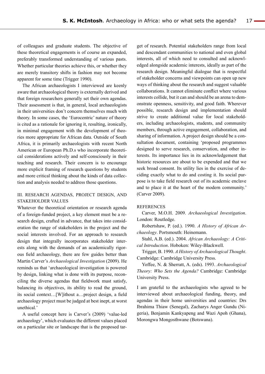of colleagues and graduate students. The objective of these theoretical engagements is of course an expanded, preferably transformed understanding of various pasts. Whether particular theories achieve this, or whether they are merely transitory shifts in fashion may not become apparent for some time (Trigger 1990).

The African archaeologists I interviewed are keenly aware that archaeological theory is externally derived and that foreign researchers generally set their own agendas. Their assessment is that, in general, local archaeologists in their universities don't concern themselves much with theory. In some cases, the 'Eurocentric' nature of theory is cited as a rationale for ignoring it, resulting, ironically, in minimal engagement with the development of theories more appropriate for African data. Outside of South Africa, it is primarily archaeologists with recent North American or European Ph.D.s who incorporate theoretical considerations actively and self-consciously in their teaching and research. Their concern is to encourage more explicit framing of research questions by students and more critical thinking about the kinds of data collection and analysis needed to address those questions.

## III. RESEARCH AGENDAS, PROJECT DESIGN, AND STAKEHOLDER VALUES

Whatever the theoretical orientation or research agenda of a foreign-funded project, a key element must be a research design, crafted in advance, that takes into consideration the range of stakeholders in the project and the social interests involved. For an approach to research design that integrally incorporates stakeholder interests along with the demands of an academically rigorous field archaeology, there are few guides better than Martin Carver's *Archaeological Investigation* (2009). He reminds us that 'archaeological investigation is powered by design, linking what is done with its purpose, reconciling the diverse agendas that fieldwork must satisfy, balancing its objectives, its ability to read the ground, its social context…[W]ithout a…project design, a field archaeology project must be judged at best inept, at worst unethical.'

A useful concept here is Carver's (2009) 'value-led archaeology', which evaluates the different values placed on a particular site or landscape that is the proposed tar-

get of research. Potential stakeholders range from local and descendant communities to national and even global interests, all of which need to consulted and acknowledged alongside academic interests, ideally as part of the research design. Meaningful dialogue that is respectful of stakeholder concerns and viewpoints can open up new ways of thinking about the research and suggest valuable collaborations. It cannot eliminate conflict where various interests collide, but it can and should be an arena to demonstrate openness, sensitivity, and good faith. Wherever possible, research design and implementation should strive to create additional value for local stakeholders, including archaeologists, students, and community members, through active engagement, collaboration, and sharing of information. A project design should be a consultation document, containing 'proposed programmes designed to serve research, conservation, and other interests. Its importance lies in its acknowledgement that historic resources are about to be expended and that we seek broad consent. Its utility lies in the exercise of deciding exactly what to do and costing it. Its social purpose is to take field research out of its academic enclave and to place it at the heart of the modern community.' (Carver 2009).

#### REFERENCES

Carver, M.O.H. 2009. *Archaeological Investigation*. London: Routledge.

Robertshaw, P. (ed.). 1990. *A History of African Archaeology*. Portsmouth: Heinemann.

Stahl, A.B. (ed.). 2004. *African Archaeology: A Critical Introduction*. Hoboken: Wiley-Blackwell.

Trigger, B. 1990. *A History of Archaeological Thought*. Cambridge: Cambridge University Press.

Yoffee, N. & Sherratt, A. (eds). 1993. *Archaeological Theory: Who Sets the Agenda?* Cambridge: Cambridge University Press.

I am grateful to the archaeologists who agreed to be interviewed about archaeological funding, theory, and agendas in their home universities and countries: Drs Ibrahima Thiaw (Senegal), Zacharys Anger Gundu (Nigeria), Benjamin Kankyapeng and Wazi Apoh (Ghana), Morongwa Mongosthwane (Botswana).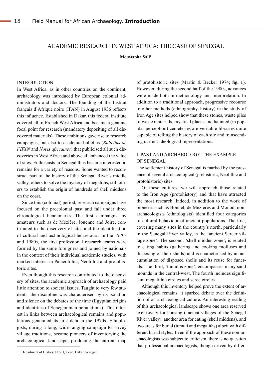## academic Research in west africa: the case of Senegal

**Moustapha Sall**1

#### **INTRODUCTION**

In West Africa, as in other countries on the continent, archaeology was introduced by European colonial administrators and doctors. The founding of the Institut français d'Afrique noire (IFAN) in August 1936 reflects this influence. Established in Dakar, this federal institute covered all of French West Africa and became a genuine focal point for research (mandatory depositing of all discovered materials). These ambitions gave rise to research campaigns, but also to academic bulletins (*Bulletins de l'IFAN* and *Notes africaines*) that publicised all such discoveries in West Africa and above all enhanced the value of sites. Enthusiasts in Senegal thus became interested in remains for a variety of reasons. Some wanted to reconstruct part of the history of the Senegal River's middle valley, others to solve the mystery of megaliths, still others to establish the origin of hundreds of shell middens on the coast.

Since this (colonial) period, research campaigns have focused on the precolonial past and fall under three chronological benchmarks. The first campaigns, by amateurs such as de Mézière, Jouenne and Joire, contributed to the discovery of sites and the identification of cultural and technological behaviours. In the 1970s and 1980s, the first professional research teams were formed by the same foreigners and joined by nationals in the context of their individual academic studies, with marked interest in Palaeolithic, Neolithic and protohistoric sites.

Even though this research contributed to the discovery of sites, the academic approach of archaeology paid little attention to societal issues. Taught to very few students, the discipline was characterised by its isolation and silence on the debates of the time (Egyptian origins and identities of Senegambian populations). This interest in links between archaeological remains and populations generated its first data in the 1970s. Ethnologists, during a long, wide-ranging campaign to survey village traditions, became pioneers of inventorying the archaeological landscape, producing the current map

of protohistoric sites (Martin & Becker 1974; **fig. 1**). However, during the second half of the 1980s, advances were made both in methodology and interpretation. In addition to a traditional approach, progressive recourse to other methods (ethnography, history) in the study of Iron Age sites helped show that these stones, waste piles of waste materials, mystical places and haunted (in popular perception) cemeteries are veritable libraries quite capable of telling the history of each site and transcending current ideological representations.

## I. past and archaeology: the example OF SENEGAL

The settlement history of Senegal is marked by the presence of several archaeological (prehistoric, Neolithic and protohistoric) sites.

Of these cultures, we will approach those related to the Iron Age (protohistory) and that have attracted the most research. Indeed, in addition to the work of pioneers such as Bonnel, de Mézières and Monod, nonarchaeologists (ethnologists) identified four categories of cultural behaviour of ancient populations. The first, covering many sites in the country's north, particularly in the Senegal River valley, is the 'ancient Sereer village zone'. The second, 'shell midden zone', is related to eating habits (gathering and cooking molluscs and disposing of their shells) and is characterised by an accumulation of disposed shells and its reuse for funerals. The third, 'tumulus zone', encompasses many sand mounds in the central-west. The fourth includes significant megalithic circles and scree circles.

Although this inventory helped prove the extent of archaeological remains, it sparked debate over the definition of an archaeological culture. An interesting reading of this archaeological landscape shows one area reserved exclusively for housing (ancient villages of the Senegal River valley), another area for eating (shell middens), and two areas for burial (tumuli and megaliths) albeit with different burial styles. Even if the approach of these non-archaeologists was subject to criticism, there is no question that professional archaeologists, though driven by differ-

<sup>1</sup> Department of History, FLSH, Ucad, Dakar, Senegal.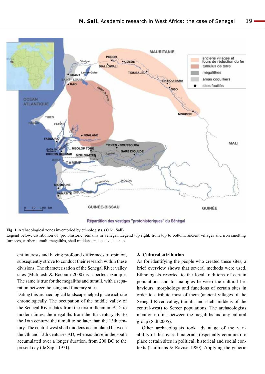

Répartition des vestiges "protohistoriques" du Sénégal

**Fig. 1**. Archaeological zones inventoried by ethnologists. (© M. Sall) Legend below: distribution of 'protohistoric' remains in Senegal. Legend top right, from top to bottom: ancient villages and iron smelting furnaces, earthen tumuli, megaliths, shell middens and excavated sites.

ent interests and having profound differences of opinion, subsequently strove to conduct their research within these divisions. The characterisation of the Senegal River valley sites (McIntosh & Bocoum 2000) is a perfect example. The same is true for the megaliths and tumuli, with a separation between housing and funerary sites.

Dating this archaeological landscape helped place each site chronologically. The occupation of the middle valley of the Senegal River dates from the first millennium A.D. to modern times; the megaliths from the 4th century BC to the 16th century; the tumuli to no later than the 13th century. The central-west shell middens accumulated between the 7th and 13th centuries AD, whereas those in the south accumulated over a longer duration, from 200 BC to the present day (de Sapir 1971).

## **A. Cultural attribution**

As for identifying the people who created these sites, a brief overview shows that several methods were used. Ethnologists resorted to the local traditions of certain populations and to analogies between the cultural behaviours, morphology and functions of certain sites in order to attribute most of them (ancient villages of the Senegal River valley, tumuli, and shell middens of the central-west) to Sereer populations. The archaeologists mention no link between the megaliths and any cultural group (Sall 2005).

Other archaeologists took advantage of the variability of discovered materials (especially ceramics) to place certain sites in political, historical and social contexts (Thilmans & Ravisé 1980). Applying the generic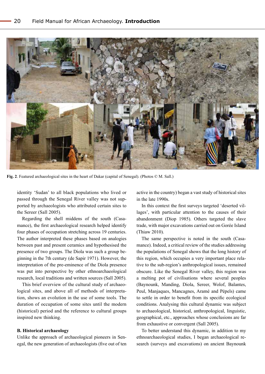

**Fig. 2**. Featured archaeological sites in the heart of Dakar (capital of Senegal). (Photos © M. Sall.)

identity 'Sudan' to all black populations who lived or passed through the Senegal River valley was not supported by archaeologists who attributed certain sites to the Sereer (Sall 2005).

Regarding the shell middens of the south (Casamance), the first archaeological research helped identify four phases of occupation stretching across 19 centuries. The author interpreted these phases based on analogies between past and present ceramics and hypothesised the presence of two groups. The Diola was such a group beginning in the 7th century (de Sapir 1971). However, the interpretation of the pre-eminence of the Diola presence was put into perspective by other ethnoarchaeological research, local traditions and written sources (Sall 2005).

This brief overview of the cultural study of archaeological sites, and above all of methods of interpretation, shows an evolution in the use of some tools. The duration of occupation of some sites until the modern (historical) period and the reference to cultural groups inspired new thinking.

#### **B. Historical archaeology**

Unlike the approach of archaeological pioneers in Senegal, the new generation of archaeologists (five out of ten active in the country) began a vast study of historical sites in the late 1990s.

In this context the first surveys targeted 'deserted villages', with particular attention to the causes of their abandonment (Diop 1985). Others targeted the slave trade, with major excavations carried out on Gorée Island (Thiaw 2010).

The same perspective is noted in the south (Casamance). Indeed, a critical review of the studies addressing the populations of Senegal shows that the long history of this region, which occupies a very important place relative to the sub-region's anthropological issues, remained obscure. Like the Senegal River valley, this region was a melting pot of civilisations where several peoples (Baynounk, Manding, Diola, Sereer, Wolof, Balantes, Peul, Manjaques, Mancagnes, Aramé and Pépels) came to settle in order to benefit from its specific ecological conditions. Analysing this cultural dynamic was subject to archaeological, historical, anthropological, linguistic, geographical, etc., approaches whose conclusions are far from exhaustive or convergent (Sall 2005).

To better understand this dynamic, in addition to my ethnoarchaeological studies, I began archaeological research (surveys and excavations) on ancient Baynounk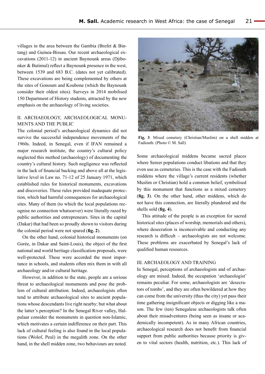villages in the area between the Gambia (Brefet & Bintang) and Guinea-Bissau. Our recent archaeological excavations (2011-12) in ancient Baynounk areas (Djibonker & Butimul) reflect a Baynounk presence in the west, between 1539 and 683 B.C. (dates not yet calibrated). These excavations are being complemented by others at the sites of Gonoum and Koubone (which the Baynounk consider their oldest sites). Surveys in 2014 mobilised 150 Department of History students, attracted by the new emphasis on the archaeology of living societies.

## II. Archaeology, archaeological monuments and THE public

The colonial period's archaeological dynamics did not survive the successful independence movements of the 1960s. Indeed, in Senegal, even if IFAN remained a major research institute, the country's cultural policy neglected this method (archaeology) of documenting the country's cultural history. Such negligence was reflected in the lack of financial backing and above all at the legislative level in Law no. 71-12 of 25 January 1971, which established rules for historical monuments, excavations and discoveries. These rules provided inadequate protection, which had harmful consequences for archaeological sites. Many of them (to which the local populations recognise no connection whatsoever) were literally razed by public authorities and entrepreneurs. Sites in the capital (Dakar) that had been so proudly shown to visitors during the colonial period were not spared (**fig. 2**).

On the other hand, colonial historical monuments (on Gorée, in Dakar and Saint-Louis), the object of the first national and world heritage classification proposals, were well-protected. These were accorded the most importance in schools, and students often mix them in with all archaeology and/or cultural heritage.

However, in addition to the state, people are a serious threat to archaeological monuments and pose the problem of cultural attribution. Indeed, archaeologists often tend to attribute archaeological sites to ancient populations whose descendants live right nearby; but what about the latter's perception? In the Senegal River valley, Halpulaar consider the monuments in question non-Islamic, which motivates a certain indifference on their part. This lack of cultural feeling is also found in the local populations (Wolof, Peul) in the megalith zone. On the other hand, in the shell midden zone, two behaviours are noted.



**Fig. 3**. Mixed cemetery (Christian/Muslim) on a shell midden at Fadiouth. (Photo © M. Sall)

Some archaeological middens became sacred places where Sereer populations conduct libations and that they even use as cemeteries. This is the case with the Fadiouth middens where the village's current residents (whether Muslim or Christian) hold a common belief, symbolised by this monument that functions as a mixed cemetery (**fig. 3**). On the other hand, other middens, which do not have this connection, are literally plundered and the shells sold (**fig. 4**).

This attitude of the people is an exception for sacred historical sites (places of worship, memorials and others), where desecration is inconceivable and conducting any research is difficult – archaeologists are not welcome. These problems are exacerbated by Senegal's lack of qualified human resources.

#### III. Archaeology and training

In Senegal, perceptions of archaeologists and of archaeology are mixed. Indeed, the occupation 'archaeologist' remains peculiar. For some, archaeologists are 'desecrators of tombs', and they are often bewildered at how they can come from the university (thus the city) yet pass their time gathering insignificant objects or digging like a mason. The few (ten) Senegalese archaeologists talk often about their misadventures (being seen as insane or academically incompetent). As in many African countries, archaeological research does not benefit from financial support from public authorities because priority is given to vital sectors (health, nutrition, etc.). This lack of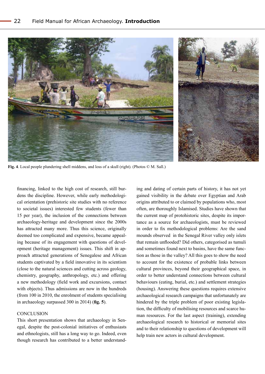

**Fig. 4**. Local people plundering shell middens, and loss of a skull (right). (Photos © M. Sall.)

financing, linked to the high cost of research, still burdens the discipline. However, while early methodological orientation (prehistoric site studies with no reference to societal issues) interested few students (fewer than 15 per year), the inclusion of the connections between archaeology-heritage and development since the 2000s has attracted many more. Thus this science, originally deemed too complicated and expensive, became appealing because of its engagement with questions of development (heritage management) issues. This shift in approach attracted generations of Senegalese and African students captivated by a field innovative in its scientism (close to the natural sciences and cutting across geology, chemistry, geography, anthropology, etc.) and offering a new methodology (field work and excursions, contact with objects). Thus admissions are now in the hundreds (from 100 in 2010, the enrolment of students specialising in archaeology surpassed 300 in 2014) (**fig. 5**).

## **CONCLUSION**

This short presentation shows that archaeology in Senegal, despite the post-colonial initiatives of enthusiasts and ethnologists, still has a long way to go. Indeed, even though research has contributed to a better understand-

ing and dating of certain parts of history, it has not yet gained visibility in the debate over Egyptian and Arab origins attributed to or claimed by populations who, most often, are thoroughly Islamised. Studies have shown that the current map of protohistoric sites, despite its importance as a source for archaeologists, must be reviewed in order to fix methodological problems: Are the sand mounds observed in the Senegal River valley only islets that remain unflooded? Did others, categorised as tumuli and sometimes found next to basins, have the same function as those in the valley? All this goes to show the need to account for the existence of probable links between cultural provinces, beyond their geographical space, in order to better understand connections between cultural behaviours (eating, burial, etc.) and settlement strategies (housing). Answering these questions requires extensive archaeological research campaigns that unfortunately are hindered by the triple problem of poor existing legislation, the difficulty of mobilising resources and scarce human resources. For the last aspect (training), extending archaeological research to historical or memorial sites and to their relationship to questions of development will help train new actors in cultural development.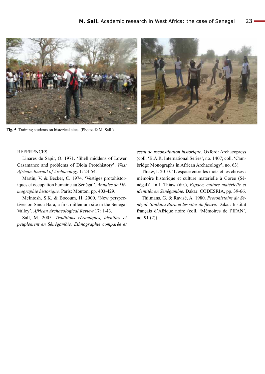

**Fig. 5**. Training students on historical sites. (Photos © M. Sall.)

#### **REFERENCES**

Linares de Sapir, O. 1971. 'Shell middens of Lower Casamance and problems of Diola Protohistory'. *West African Journal of Archaeology* 1: 23-54.

Martin, V. & Becker, C. 1974. 'Vestiges protohistoriques et occupation humaine au Sénégal'. *Annales de Démographie historique.* Paris: Mouton, pp. 403-429.

McIntosh, S.K. & Bocoum, H. 2000. 'New perspectives on Sincu Bara, a first millenium site in the Senegal Valley'. *African Archaeological Review* 17: 1-43.

Sall, M. 2005. *Traditions céramiques, identités et peuplement en Sénégambie. Ethnographie comparée et*  *essai de reconstitution historique*. Oxford: Archaeopress (coll. 'B.A.R. International Series', no. 1407; coll. 'Cambridge Monographs in African Archaeology', no. 63).

Thiaw, I. 2010. 'L'espace entre les mots et les choses : mémoire historique et culture matérielle à Gorée (Sénégal)'. In I. Thiaw (dir.), *Espace, culture matérielle et identités en Sénégambie.* Dakar: CODESRIA, pp. 39-66.

Thilmans, G. & Ravisé, A. 1980. *Protohistoire du Sénégal. Sinthiou Bara et les sites du fleuve*. Dakar: Institut français d'Afrique noire (coll. 'Mémoires de l'IFAN', no. 91 (2)).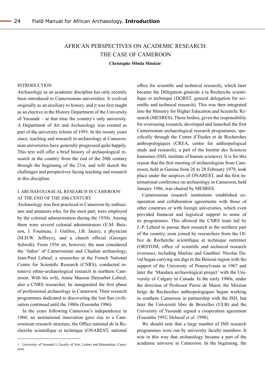## AFRICAN PERSPECTIVES ON ACADEMIC RESEARCH: THE CASE OF CAMEROON

**Christophe Mbida Mindzie**1

#### **INTRODUCTION**

Archaeology as an academic discipline has only recently been introduced to Cameroonian universities. It evolved originally as an auxiliary to history, and it was first taught as an elective in the History Department of the University of Yaoundé – at that time the country's only university. A Department of Art and Archaeology was created as part of the university reform of 1993. In the twenty years since, teaching and research in archaeology at Cameroonian universities have generally progressed quite happily. This text will offer a brief history of archaeological research in the country from the end of the 20th century through the beginning of the 21st, and will sketch the challenges and perspectives facing teaching and research in this discipline.

## I. ARCHAEOLOGICAL RESEARCH IN CAMEROON AT THE END OF the 20th CENTURY

Archaeology was first practiced in Cameroon by enthusiasts and amateurs who, for the most part, were employed by the colonial administration during the 1930s. Among them were several colonial administrators (E.M. Buisson, J. Fourneau, J. Guillou, J.B. Jauze), a physician (M.D.W. Jeffreys), and a church official (Georges Schwab). From 1936 on, however, the man considered the 'father' of Cameroonian and Chadian archaeology, Jean-Paul Lebeuf, a researcher at the French National Centre for Scientific Research (CNRS), conducted intensive ethno-archaeological research in northern Cameroon. With his wife, Annie Masson Detourbet Lebeuf, also a CNRS researcher, he inaugurated the first phase of professional archaeology in Cameroon. Their research programmes dedicated to discovering the lost Sao civilisation continued until the 1980s (Essomba 1986).

In the years following Cameroon's independence in 1960, an institutional innovation gave rise to a Cameroonian research structure, the Office national de la Recherche scientifique et technique (ONAREST, national

office for scientific and technical research), which later became the Délégation générale à la Recherche scientifique et technique (DGRST, general delegation for scientific and technical research). This was then integrated into the Ministry for Higher Education and Scientific Research (MESRES). These bodies, given the responsibility for overseeing research, developed and launched the first Cameroonian archaeological research programmes, specifically through the Centre d'Études et de Recherches anthropologiques (CREA, centre for anthropological study and research), a part of the Institut des Sciences humaines (ISH, institute of human sciences). It is for this reason that the first meeting of archaeologists from Cameroon, held in Garoua from 26 to 28 February 1979, took place under the auspices of ONAREST, and the first international conference on archaeology in Cameroon, held January 1986, was chaired by MESRES.

Cameroonian research institutions established cooperation and collaboration agreements with those of other countries or with foreign universities, which even provided financial and logistical support to some of its programmes. This allowed the CNRS team led by J.-P. Lebeuf to pursue their research in the northern part of the country, soon joined by researchers from the Office de Recherche scientifique et technique outremer (ORSTOM, office of scientific and technical research overseas), including Marliac and Gauthier. Nicolas David began carrying out digs in the Bénoué region with the support of the University of Pennsylvania in 1967 and later the 'Mandara archaeological project' with the University of Calgary in Canada. In the early 1980s, under the direction of Professor Pierre de Maret, the Mission belge de Recherches anthropologiques began working in southern Cameroon in partnership with the ISH, but later the Université libre de Bruxelles (ULB) and the University of Yaoundé signed a cooperation agreement (Essomba 1992; Delneuf *et al.* 1998).

We should note that a large number of ISH research programmes were run by university faculty members. It was in this way that archaeology became a part of the academic universe in Cameroon. In the beginning, the

<sup>1</sup> University of Yaoundé I, Faculty of Arts, Letters and Humanities, Cameroon.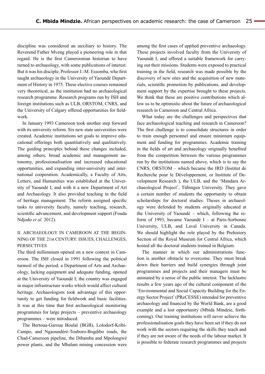discipline was considered an auxiliary to history. The Reverend Father Mveng played a pioneering role in that regard. He is the first Cameroonian historian to have turned to archaeology, with some publications of interest. But it was his disciple, Professor J.-M. Essomba, who first taught archaeology in the University of Yaoundé Department of History in 1975. These elective courses remained very theoretical, as the institution had no archaeological research programme. Research programs run by ISH and foreign institutions such as ULB, ORSTOM, CNRS, and the University of Calgary offered opportunities for fieldwork.

In January 1993 Cameroon took another step forward with its university reform. Six new state universities were created. Academic institutions set goals to improve educational offerings both quantitatively and qualitatively. The guiding principles behind these changes included, among others, broad academic and management autonomy, professionalisation and increased educational opportunities, and expanding inter-university and international cooperation. Academically, a Faculty of Arts, Letters, and Humanities was established at the University of Yaoundé I, and with it a new Department of Art and Archaeology. It also provided teaching in the field of heritage management. The reform assigned specific tasks to university faculty, namely teaching, research, scientific advancement, and development support (Fouda Ndjodo *et al.* 2012).

## II. ARCHAEOLOGY IN CAMEROON AT THE BEGIN-NING OF THE 21st CENTURY: ISSUES, CHALLENGES, **PERSECTIVES**

The third millennium opened on a new context in Cameroon. The ISH closed in 1991 following the political turmoil of the period; a Department of Arts and Archaeology, lacking equipment and adequate funding, opened at the University of Yaoundé I; the country was engaged in major infrastructure works which would affect cultural heritage. Archaeologists took advantage of this opportunity to get funding for fieldwork and basic facilities. It was at this time that first archaeological monitoring programmes for large projects – preventive archaeology programmes – were introduced.

The Bertoua-Garoua Boulaï (BGB), Lolodorf-Kribi-Campo, and Ngaoundéré-Touboro-Bogdibo roads, the Chad-Cameroon pipeline, the Dibamba and Mpolongwé power plants, and the Mbalam mining concession were among the first cases of applied preventive archaeology. These projects involved faculty from the University of Yaoundé I, and offered a suitable framework for carrying out their missions. Students were exposed to practical training in the field, research was made possible by the discovery of new sites and the acquisition of new materials, scientific promotion by publications, and development support by the expertise brought to these projects. We think that these are positive contributions which allow us to be optimistic about the future of archaeological research in Cameroon and Central Africa.

What today are the challenges and perspectives that face archaeological teaching and research in Cameroon? The first challenge is to consolidate structures in order to train enough personnel and ensure minimum equipment and funding for programmes. Academic training in the fields of art and archaeology originally benefited from the competition between the various programmes run by the institutions named above, which is to say the CNRS, ORSTOM – which became the IRD (Institut de Recherche pour le Développement, or Institute of Development Research ), the ULB, and the 'Mandara Archaeological Project', Tübingen University. They gave a certain number of students the opportunity to obtain scholarships for doctoral studies. Theses in archaeology were defended by students originally educated at the University of Yaoundé – which, following the reform of 1993, became Yaoundé I – at Paris-Sorbonne University, ULB, and Laval University in Canada. We should highlight the role played by the Prehistory Section of the Royal Museum for Central Africa, which hosted all the doctoral students trained in Belgium.

The manner in which our administrations function is another obstacle to overcome. They must break down their barriers and build synergies through joint programmes and projects and their managers must be animated by a sense of the public interest. The lacklustre results a few years ago of the cultural component of the 'Environmental and Social Capacity Building for the Energy Sector Project' (PReCESSE) intended for preventive archaeology and financed by the World Bank, are a good example and a lost opportunity (Mbida Mindzie, forthcoming). Our training institutions will never achieve the professionalisation goals they have been set if they do not work with the sectors requiring the skills they teach and if they are not aware of the needs of the labour market. It is possible to federate research programmes and projects